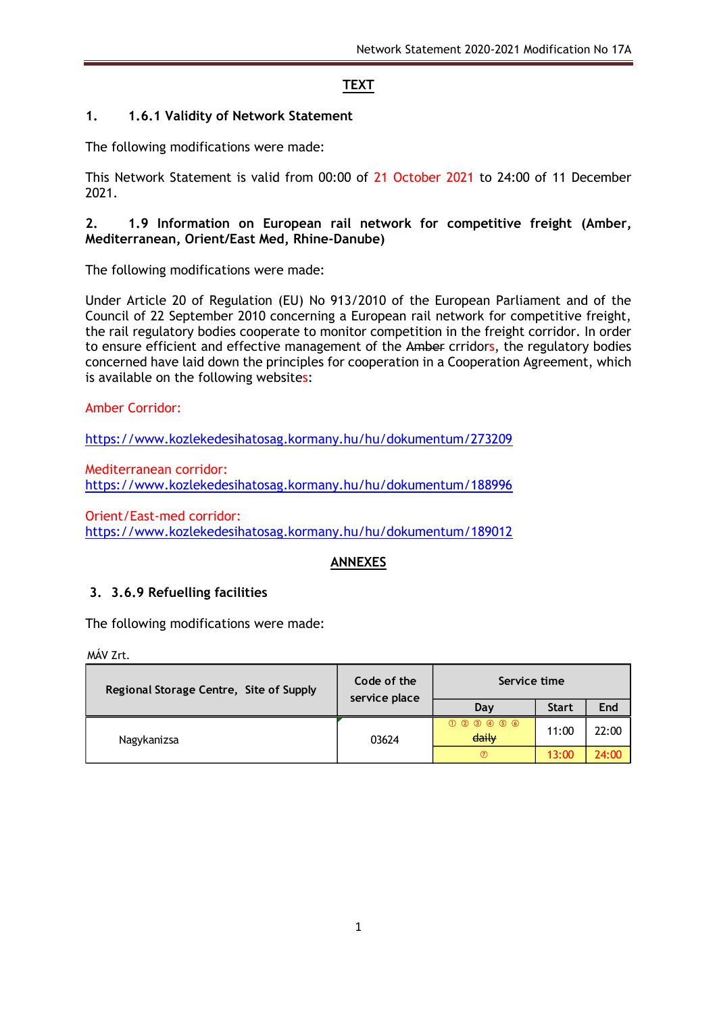# **TEXT**

## **1. 1.6.1 Validity of Network Statement**

The following modifications were made:

This Network Statement is valid from 00:00 of 21 October 2021 to 24:00 of 11 December 2021.

#### **2. 1.9 Information on European rail network for competitive freight (Amber, Mediterranean, Orient/East Med, Rhine-Danube)**

The following modifications were made:

Under Article 20 of Regulation (EU) No 913/2010 of the European Parliament and of the Council of 22 September 2010 concerning a European rail network for competitive freight, the rail regulatory bodies cooperate to monitor competition in the freight corridor. In order to ensure efficient and effective management of the Amber crridors, the regulatory bodies concerned have laid down the principles for cooperation in a Cooperation Agreement, which is available on the following websites:

## Amber Corridor:

<https://www.kozlekedesihatosag.kormany.hu/hu/dokumentum/273209>

Mediterranean corridor: <https://www.kozlekedesihatosag.kormany.hu/hu/dokumentum/188996>

Orient/East-med corridor: <https://www.kozlekedesihatosag.kormany.hu/hu/dokumentum/189012>

# **ANNEXES**

## **3. 3.6.9 Refuelling facilities**

The following modifications were made:

MÁV Zrt.

| Regional Storage Centre, Site of Supply | Code of the<br>service place | Service time     |              |       |
|-----------------------------------------|------------------------------|------------------|--------------|-------|
|                                         |                              | Day              | <b>Start</b> | End   |
| Nagykanizsa                             | 03624                        | 0000000<br>daily | 11:00        | 22:00 |
|                                         |                              | $\circ$          | 13:00        | 24:00 |